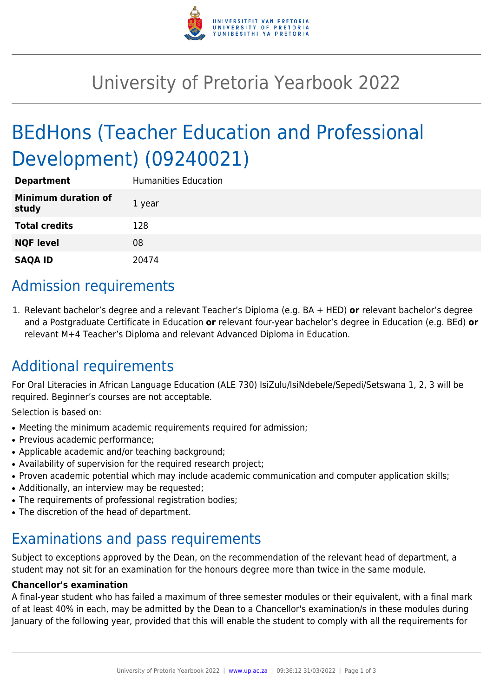

# University of Pretoria Yearbook 2022

# BEdHons (Teacher Education and Professional Development) (09240021)

| <b>Department</b>                   | <b>Humanities Education</b> |
|-------------------------------------|-----------------------------|
| <b>Minimum duration of</b><br>study | 1 year                      |
| <b>Total credits</b>                | 128                         |
| <b>NQF level</b>                    | 08                          |
| <b>SAQA ID</b>                      | 20474                       |

## Admission requirements

1. Relevant bachelor's degree and a relevant Teacher's Diploma (e.g. BA + HED) **or** relevant bachelor's degree and a Postgraduate Certificate in Education **or** relevant four-year bachelor's degree in Education (e.g. BEd) **or** relevant M+4 Teacher's Diploma and relevant Advanced Diploma in Education.

## Additional requirements

For Oral Literacies in African Language Education (ALE 730) IsiZulu/IsiNdebele/Sepedi/Setswana 1, 2, 3 will be required. Beginner's courses are not acceptable.

Selection is based on:

- Meeting the minimum academic requirements required for admission;
- Previous academic performance:
- Applicable academic and/or teaching background;
- Availability of supervision for the required research project;
- Proven academic potential which may include academic communication and computer application skills;
- Additionally, an interview may be requested;
- The requirements of professional registration bodies;
- The discretion of the head of department.

### Examinations and pass requirements

Subject to exceptions approved by the Dean, on the recommendation of the relevant head of department, a student may not sit for an examination for the honours degree more than twice in the same module.

#### **Chancellor's examination**

A final-year student who has failed a maximum of three semester modules or their equivalent, with a final mark of at least 40% in each, may be admitted by the Dean to a Chancellor's examination/s in these modules during January of the following year, provided that this will enable the student to comply with all the requirements for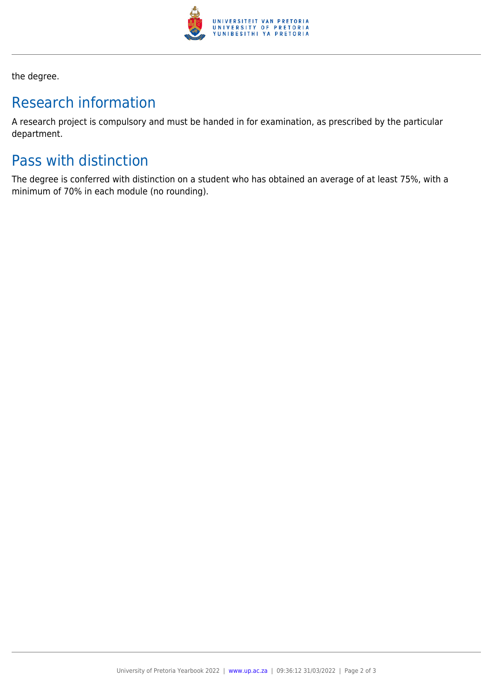

the degree.

## Research information

A research project is compulsory and must be handed in for examination, as prescribed by the particular department.

## Pass with distinction

The degree is conferred with distinction on a student who has obtained an average of at least 75%, with a minimum of 70% in each module (no rounding).